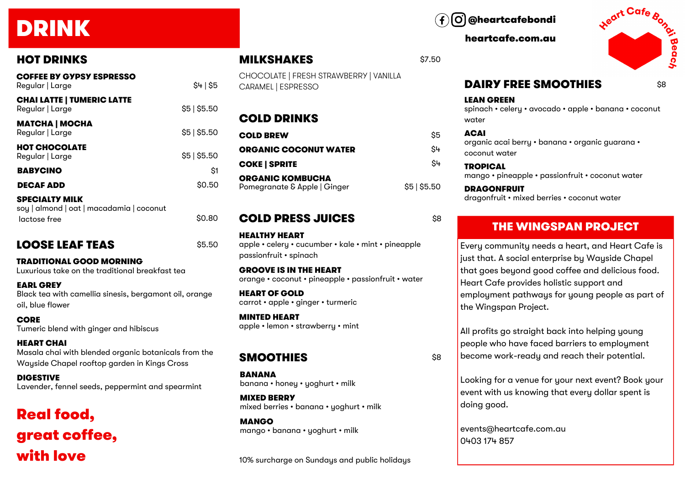# DRINK

## HOT DRINKS

| <b>COFFEE BY GYPSY ESPRESSO</b><br>Regular   Large                | \$4 \$5      |
|-------------------------------------------------------------------|--------------|
| <b>CHAI LATTE   TUMERIC LATTE</b><br>Regular   Large              | \$5   \$5.50 |
| <b>MATCHA   MOCHA</b><br>Regular   Large                          | \$5 \$5.50   |
| <b>HOT CHOCOLATE</b><br>Regular   Large                           | \$5   \$5.50 |
| <b>BABYCINO</b>                                                   | \$1          |
| <b>DECAF ADD</b>                                                  | \$0.50       |
| <b>SPECIALTY MILK</b><br>soy   almond   oat   macadamia   coconut |              |

## $lactose free$   $$0.80$

## LOOSE LEAF TEAS \$5.50

TRADITIONAL GOOD MORNING Luxurious take on the traditional breakfast tea

EARL GREY Black tea with camellia sinesis, bergamont oil, orange oil, blue flower

**CORE** Tumeric blend with ginger and hibiscus

HEART CHAI Masala chai with blended organic botanicals from the Wayside Chapel rooftop garden in Kings Cross

DIGESTIVE Lavender, fennel seeds, peppermint and spearmint

## Real food, great coffee, with love

@heartcafebondi

heartcafe.com.au

**MILKSHAKES** \$7.50



## DAIRY FREE SMOOTHIES

\$8

### LEAN GREEN

spinach • celery • avocado • apple • banana • coconut water

#### ACAI

organic acai berry • banana • organic guarana • coconut water

**TROPICAL** mango • pineapple • passionfruit • coconut water

**DRAGONFRUIT** dragonfruit • mixed berries • coconut water

## THE WINGSPAN PROJECT

Every community needs a heart, and Heart Cafe is just that. A social enterprise by Wayside Chapel that goes beyond good coffee and delicious food. Heart Cafe provides holistic support and employment pathways for young people as part of the Wingspan Project.

All profits go straight back into helping young people who have faced barriers to employment become work-ready and reach their potential.

Looking for a venue for your next event? Book your event with us knowing that every dollar spent is doing good.

events@heartcafe.com.au 0403 174 857

## **SMOOTHIES** \$8

**BANANA** banana • honey • yoghurt • milk

ORGANIC KOMBUCHA

HEALTHY HEART

HEART OF GOLD

MINTED HEART

passionfruit • spinach

GROOVE IS IN THE HEART

carrot • apple • ginger • turmeric

apple • lemon • strawberry • mint

COLD DRINKS

CARAMEL | ESPRESSO

MIXED BERRY mixed berries • banana • yoghurt • milk

MANGO mango • banana • yoghurt • milk

10% surcharge on Sundays and public holidays

COLD BREW \$5 ORGANIC COCONUT WATER SH  $\mathsf{COKE}$  | SPRITE  $$^{4+}$ 

CHOCOLATE | FRESH STRAWBERRY | VANILLA

Pomegranate & Apple | Ginger \$5 | \$5.50

**COLD PRESS JUICES** \$8

apple • celery • cucumber • kale • mint • pineapple

orange • coconut • pineapple • passionfruit • water